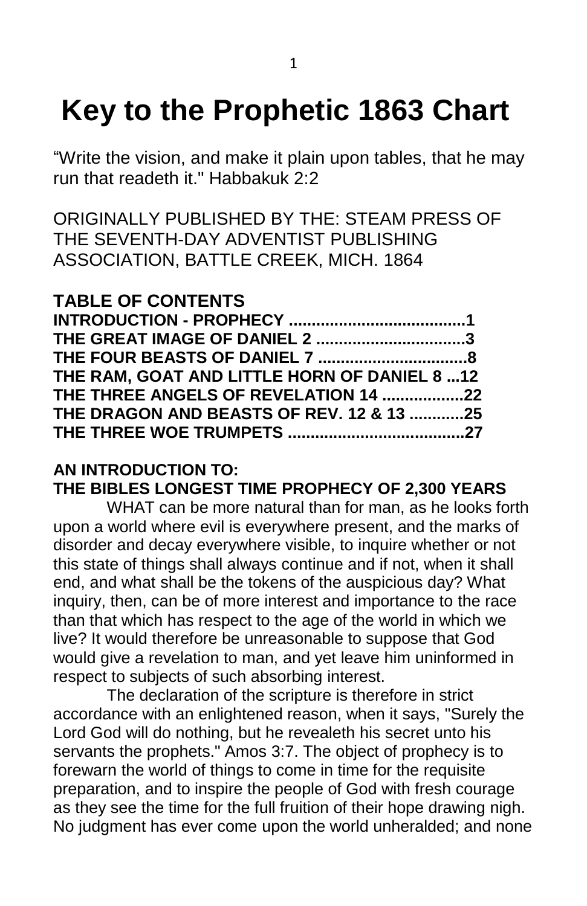# **Key to the Prophetic 1863 Chart**

"Write the vision, and make it plain upon tables, that he may run that readeth it." Habbakuk 2:2

ORIGINALLY PUBLISHED BY THE: STEAM PRESS OF THE SEVENTH-DAY ADVENTIST PUBLISHING ASSOCIATION, BATTLE CREEK, MICH. 1864

# **TABLE OF CONTENTS**

| THE GREAT IMAGE OF DANIEL 2 3                |  |
|----------------------------------------------|--|
|                                              |  |
| THE RAM, GOAT AND LITTLE HORN OF DANIEL 8 12 |  |
| THE THREE ANGELS OF REVELATION 14 22         |  |
| THE DRAGON AND BEASTS OF REV. 12 & 13 25     |  |
|                                              |  |
|                                              |  |

#### **AN INTRODUCTION TO: THE BIBLES LONGEST TIME PROPHECY OF 2,300 YEARS**

WHAT can be more natural than for man, as he looks forth upon a world where evil is everywhere present, and the marks of disorder and decay everywhere visible, to inquire whether or not this state of things shall always continue and if not, when it shall end, and what shall be the tokens of the auspicious day? What inquiry, then, can be of more interest and importance to the race than that which has respect to the age of the world in which we live? It would therefore be unreasonable to suppose that God would give a revelation to man, and yet leave him uninformed in respect to subjects of such absorbing interest.

The declaration of the scripture is therefore in strict accordance with an enlightened reason, when it says, "Surely the Lord God will do nothing, but he revealeth his secret unto his servants the prophets." Amos 3:7. The object of prophecy is to forewarn the world of things to come in time for the requisite preparation, and to inspire the people of God with fresh courage as they see the time for the full fruition of their hope drawing nigh. No judgment has ever come upon the world unheralded; and none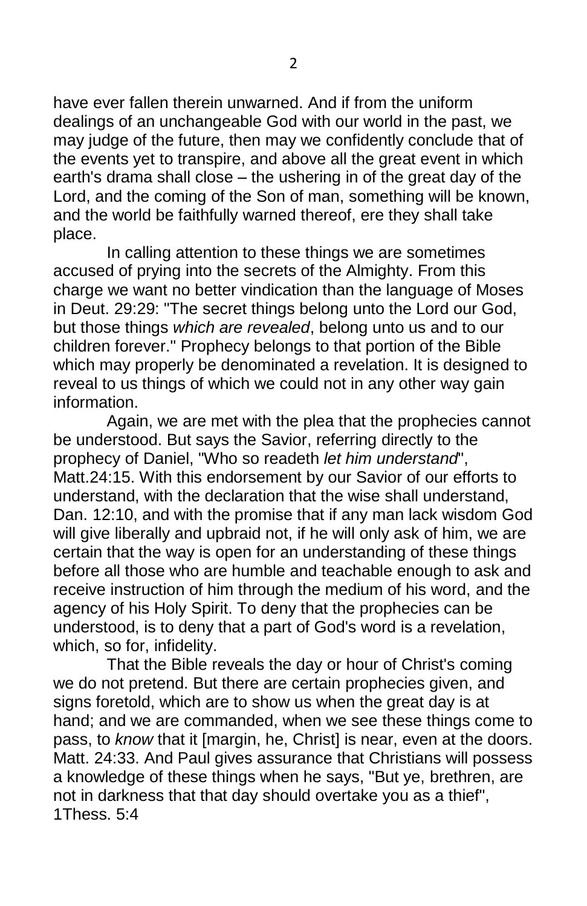have ever fallen therein unwarned. And if from the uniform dealings of an unchangeable God with our world in the past, we may judge of the future, then may we confidently conclude that of the events yet to transpire, and above all the great event in which earth's drama shall close – the ushering in of the great day of the Lord, and the coming of the Son of man, something will be known, and the world be faithfully warned thereof, ere they shall take place.

In calling attention to these things we are sometimes accused of prying into the secrets of the Almighty. From this charge we want no better vindication than the language of Moses in Deut. 29:29: "The secret things belong unto the Lord our God, but those things *which are revealed*, belong unto us and to our children forever." Prophecy belongs to that portion of the Bible which may properly be denominated a revelation. It is designed to reveal to us things of which we could not in any other way gain information.

Again, we are met with the plea that the prophecies cannot be understood. But says the Savior, referring directly to the prophecy of Daniel, "Who so readeth *let him understand*", Matt.24:15. With this endorsement by our Savior of our efforts to understand, with the declaration that the wise shall understand, Dan. 12:10, and with the promise that if any man lack wisdom God will give liberally and upbraid not, if he will only ask of him, we are certain that the way is open for an understanding of these things before all those who are humble and teachable enough to ask and receive instruction of him through the medium of his word, and the agency of his Holy Spirit. To deny that the prophecies can be understood, is to deny that a part of God's word is a revelation, which, so for, infidelity.

That the Bible reveals the day or hour of Christ's coming we do not pretend. But there are certain prophecies given, and signs foretold, which are to show us when the great day is at hand; and we are commanded, when we see these things come to pass, to *know* that it [margin, he, Christ] is near, even at the doors. Matt. 24:33. And Paul gives assurance that Christians will possess a knowledge of these things when he says, "But ye, brethren, are not in darkness that that day should overtake you as a thief", 1Thess. 5:4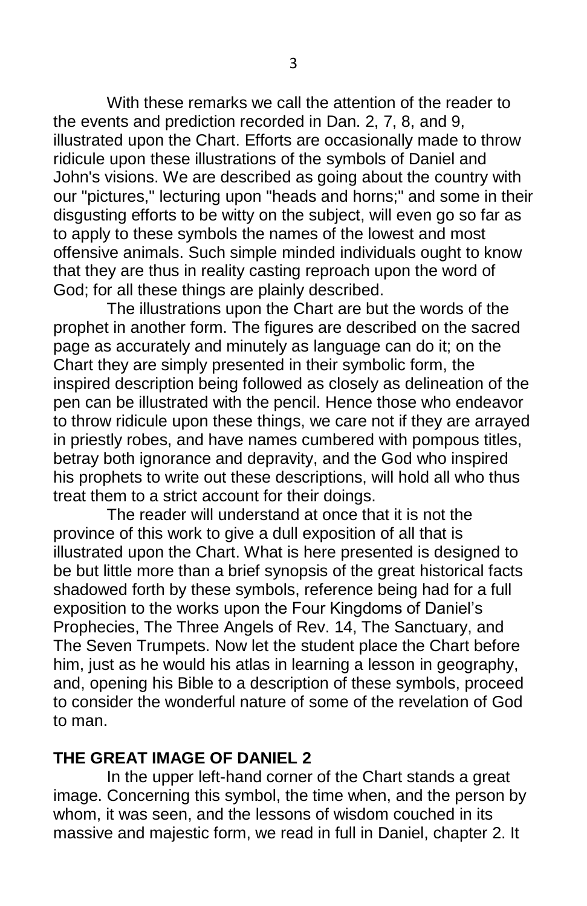With these remarks we call the attention of the reader to the events and prediction recorded in Dan. 2, 7, 8, and 9, illustrated upon the Chart. Efforts are occasionally made to throw ridicule upon these illustrations of the symbols of Daniel and John's visions. We are described as going about the country with our "pictures," lecturing upon "heads and horns;" and some in their disgusting efforts to be witty on the subject, will even go so far as to apply to these symbols the names of the lowest and most offensive animals. Such simple minded individuals ought to know that they are thus in reality casting reproach upon the word of God; for all these things are plainly described.

The illustrations upon the Chart are but the words of the prophet in another form. The figures are described on the sacred page as accurately and minutely as language can do it; on the Chart they are simply presented in their symbolic form, the inspired description being followed as closely as delineation of the pen can be illustrated with the pencil. Hence those who endeavor to throw ridicule upon these things, we care not if they are arrayed in priestly robes, and have names cumbered with pompous titles, betray both ignorance and depravity, and the God who inspired his prophets to write out these descriptions, will hold all who thus treat them to a strict account for their doings.

The reader will understand at once that it is not the province of this work to give a dull exposition of all that is illustrated upon the Chart. What is here presented is designed to be but little more than a brief synopsis of the great historical facts shadowed forth by these symbols, reference being had for a full exposition to the works upon the Four Kingdoms of Daniel's Prophecies, The Three Angels of Rev. 14, The Sanctuary, and The Seven Trumpets. Now let the student place the Chart before him, just as he would his atlas in learning a lesson in geography, and, opening his Bible to a description of these symbols, proceed to consider the wonderful nature of some of the revelation of God to man.

## **THE GREAT IMAGE OF DANIEL 2**

In the upper left-hand corner of the Chart stands a great image. Concerning this symbol, the time when, and the person by whom, it was seen, and the lessons of wisdom couched in its massive and majestic form, we read in full in Daniel, chapter 2. It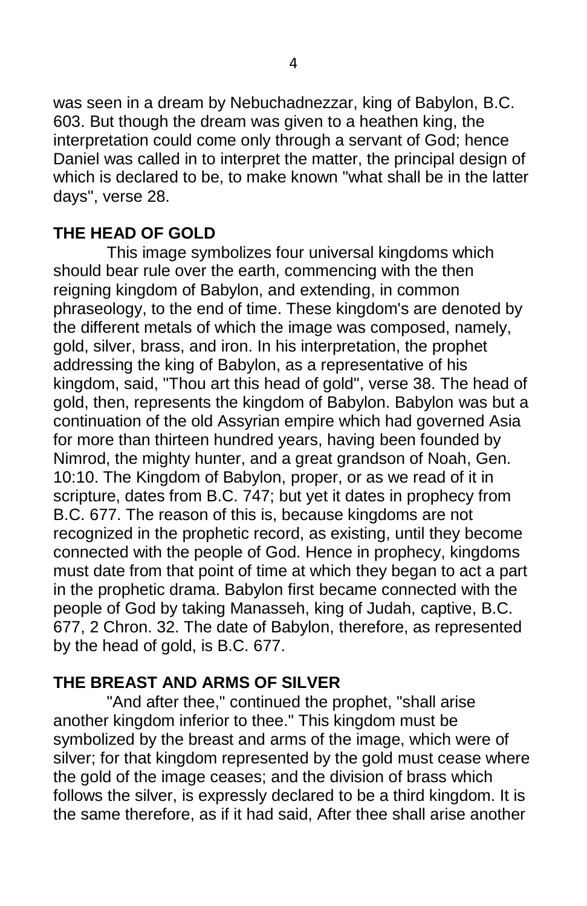was seen in a dream by Nebuchadnezzar, king of Babylon, B.C. 603. But though the dream was given to a heathen king, the interpretation could come only through a servant of God; hence Daniel was called in to interpret the matter, the principal design of which is declared to be, to make known "what shall be in the latter days", verse 28.

# **THE HEAD OF GOLD**

This image symbolizes four universal kingdoms which should bear rule over the earth, commencing with the then reigning kingdom of Babylon, and extending, in common phraseology, to the end of time. These kingdom's are denoted by the different metals of which the image was composed, namely, gold, silver, brass, and iron. In his interpretation, the prophet addressing the king of Babylon, as a representative of his kingdom, said, "Thou art this head of gold", verse 38. The head of gold, then, represents the kingdom of Babylon. Babylon was but a continuation of the old Assyrian empire which had governed Asia for more than thirteen hundred years, having been founded by Nimrod, the mighty hunter, and a great grandson of Noah, Gen. 10:10. The Kingdom of Babylon, proper, or as we read of it in scripture, dates from B.C. 747; but yet it dates in prophecy from B.C. 677. The reason of this is, because kingdoms are not recognized in the prophetic record, as existing, until they become connected with the people of God. Hence in prophecy, kingdoms must date from that point of time at which they began to act a part in the prophetic drama. Babylon first became connected with the people of God by taking Manasseh, king of Judah, captive, B.C. 677, 2 Chron. 32. The date of Babylon, therefore, as represented by the head of gold, is B.C. 677.

## **THE BREAST AND ARMS OF SILVER**

"And after thee," continued the prophet, "shall arise another kingdom inferior to thee." This kingdom must be symbolized by the breast and arms of the image, which were of silver; for that kingdom represented by the gold must cease where the gold of the image ceases; and the division of brass which follows the silver, is expressly declared to be a third kingdom. It is the same therefore, as if it had said, After thee shall arise another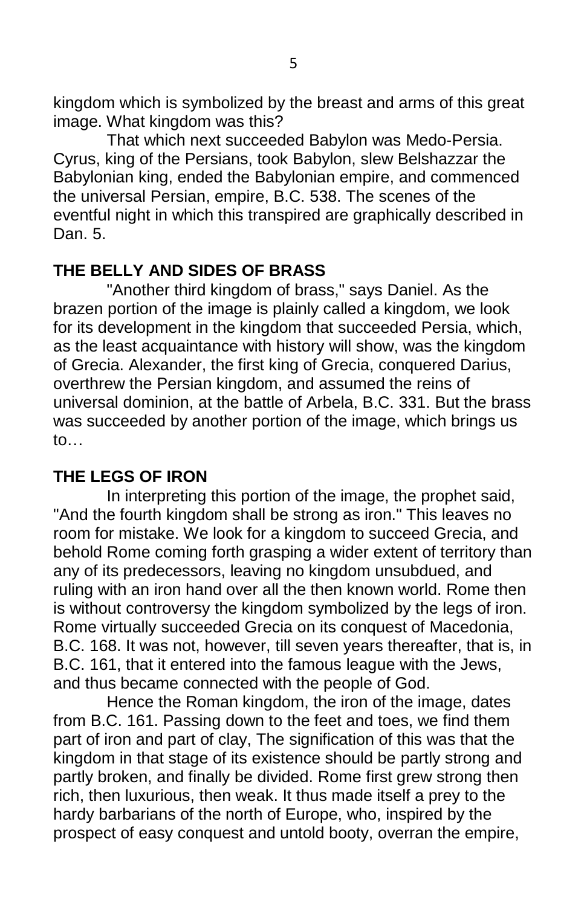kingdom which is symbolized by the breast and arms of this great image. What kingdom was this?

That which next succeeded Babylon was Medo-Persia. Cyrus, king of the Persians, took Babylon, slew Belshazzar the Babylonian king, ended the Babylonian empire, and commenced the universal Persian, empire, B.C. 538. The scenes of the eventful night in which this transpired are graphically described in Dan. 5.

# **THE BELLY AND SIDES OF BRASS**

"Another third kingdom of brass," says Daniel. As the brazen portion of the image is plainly called a kingdom, we look for its development in the kingdom that succeeded Persia, which, as the least acquaintance with history will show, was the kingdom of Grecia. Alexander, the first king of Grecia, conquered Darius, overthrew the Persian kingdom, and assumed the reins of universal dominion, at the battle of Arbela, B.C. 331. But the brass was succeeded by another portion of the image, which brings us to…

# **THE LEGS OF IRON**

In interpreting this portion of the image, the prophet said, "And the fourth kingdom shall be strong as iron." This leaves no room for mistake. We look for a kingdom to succeed Grecia, and behold Rome coming forth grasping a wider extent of territory than any of its predecessors, leaving no kingdom unsubdued, and ruling with an iron hand over all the then known world. Rome then is without controversy the kingdom symbolized by the legs of iron. Rome virtually succeeded Grecia on its conquest of Macedonia, B.C. 168. It was not, however, till seven years thereafter, that is, in B.C. 161, that it entered into the famous league with the Jews, and thus became connected with the people of God.

Hence the Roman kingdom, the iron of the image, dates from B.C. 161. Passing down to the feet and toes, we find them part of iron and part of clay, The signification of this was that the kingdom in that stage of its existence should be partly strong and partly broken, and finally be divided. Rome first grew strong then rich, then luxurious, then weak. It thus made itself a prey to the hardy barbarians of the north of Europe, who, inspired by the prospect of easy conquest and untold booty, overran the empire,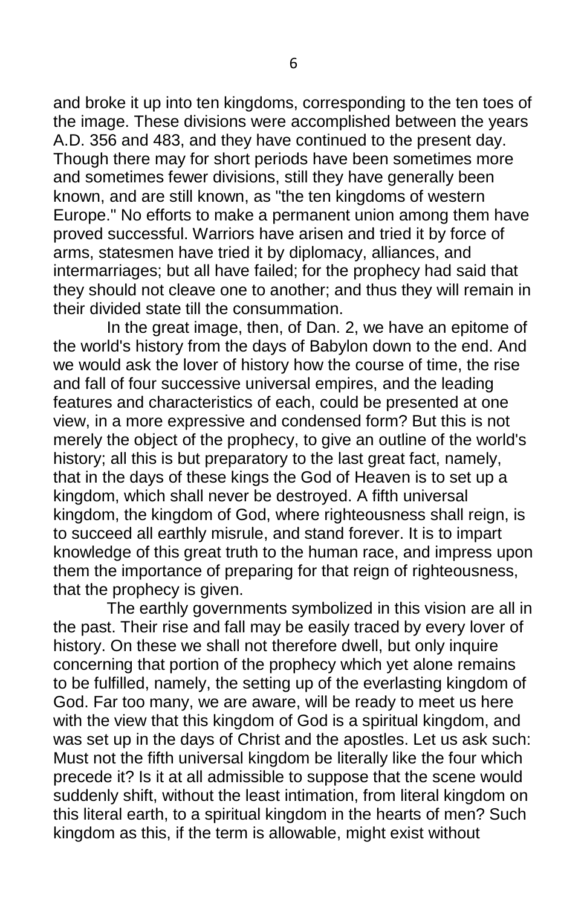and broke it up into ten kingdoms, corresponding to the ten toes of the image. These divisions were accomplished between the years A.D. 356 and 483, and they have continued to the present day. Though there may for short periods have been sometimes more and sometimes fewer divisions, still they have generally been known, and are still known, as "the ten kingdoms of western Europe." No efforts to make a permanent union among them have proved successful. Warriors have arisen and tried it by force of arms, statesmen have tried it by diplomacy, alliances, and intermarriages; but all have failed; for the prophecy had said that they should not cleave one to another; and thus they will remain in their divided state till the consummation.

In the great image, then, of Dan. 2, we have an epitome of the world's history from the days of Babylon down to the end. And we would ask the lover of history how the course of time, the rise and fall of four successive universal empires, and the leading features and characteristics of each, could be presented at one view, in a more expressive and condensed form? But this is not merely the object of the prophecy, to give an outline of the world's history; all this is but preparatory to the last great fact, namely, that in the days of these kings the God of Heaven is to set up a kingdom, which shall never be destroyed. A fifth universal kingdom, the kingdom of God, where righteousness shall reign, is to succeed all earthly misrule, and stand forever. It is to impart knowledge of this great truth to the human race, and impress upon them the importance of preparing for that reign of righteousness, that the prophecy is given.

The earthly governments symbolized in this vision are all in the past. Their rise and fall may be easily traced by every lover of history. On these we shall not therefore dwell, but only inquire concerning that portion of the prophecy which yet alone remains to be fulfilled, namely, the setting up of the everlasting kingdom of God. Far too many, we are aware, will be ready to meet us here with the view that this kingdom of God is a spiritual kingdom, and was set up in the days of Christ and the apostles. Let us ask such: Must not the fifth universal kingdom be literally like the four which precede it? Is it at all admissible to suppose that the scene would suddenly shift, without the least intimation, from literal kingdom on this literal earth, to a spiritual kingdom in the hearts of men? Such kingdom as this, if the term is allowable, might exist without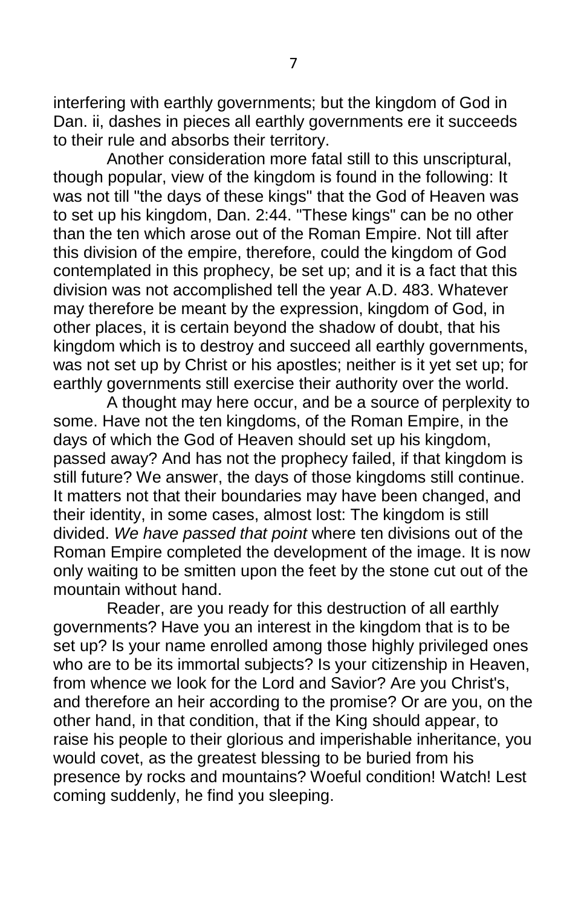interfering with earthly governments; but the kingdom of God in Dan. ii, dashes in pieces all earthly governments ere it succeeds to their rule and absorbs their territory.

Another consideration more fatal still to this unscriptural, though popular, view of the kingdom is found in the following: It was not till "the days of these kings" that the God of Heaven was to set up his kingdom, Dan. 2:44. "These kings" can be no other than the ten which arose out of the Roman Empire. Not till after this division of the empire, therefore, could the kingdom of God contemplated in this prophecy, be set up; and it is a fact that this division was not accomplished tell the year A.D. 483. Whatever may therefore be meant by the expression, kingdom of God, in other places, it is certain beyond the shadow of doubt, that his kingdom which is to destroy and succeed all earthly governments, was not set up by Christ or his apostles; neither is it yet set up; for earthly governments still exercise their authority over the world.

A thought may here occur, and be a source of perplexity to some. Have not the ten kingdoms, of the Roman Empire, in the days of which the God of Heaven should set up his kingdom, passed away? And has not the prophecy failed, if that kingdom is still future? We answer, the days of those kingdoms still continue. It matters not that their boundaries may have been changed, and their identity, in some cases, almost lost: The kingdom is still divided. *We have passed that point* where ten divisions out of the Roman Empire completed the development of the image. It is now only waiting to be smitten upon the feet by the stone cut out of the mountain without hand.

Reader, are you ready for this destruction of all earthly governments? Have you an interest in the kingdom that is to be set up? Is your name enrolled among those highly privileged ones who are to be its immortal subjects? Is your citizenship in Heaven, from whence we look for the Lord and Savior? Are you Christ's, and therefore an heir according to the promise? Or are you, on the other hand, in that condition, that if the King should appear, to raise his people to their glorious and imperishable inheritance, you would covet, as the greatest blessing to be buried from his presence by rocks and mountains? Woeful condition! Watch! Lest coming suddenly, he find you sleeping.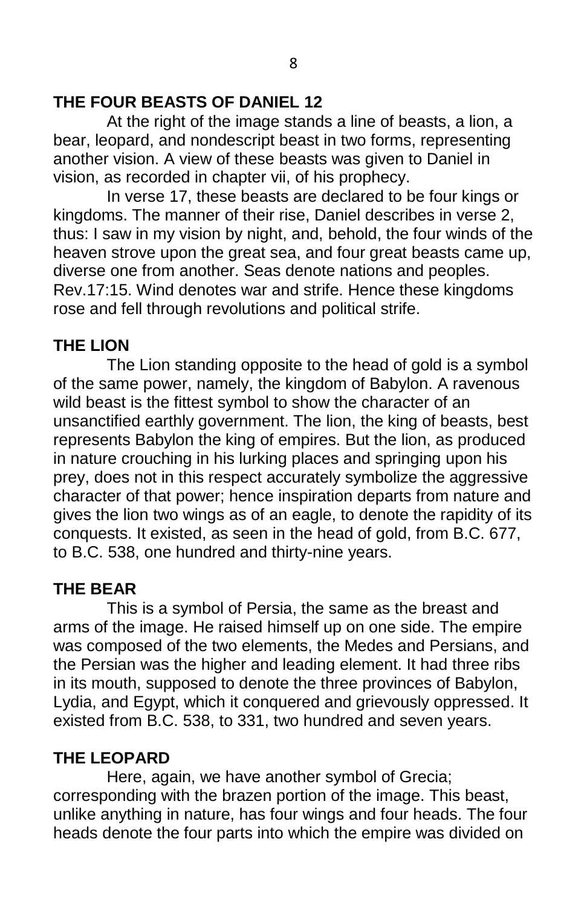# **THE FOUR BEASTS OF DANIEL 12**

At the right of the image stands a line of beasts, a lion, a bear, leopard, and nondescript beast in two forms, representing another vision. A view of these beasts was given to Daniel in vision, as recorded in chapter vii, of his prophecy.

In verse 17, these beasts are declared to be four kings or kingdoms. The manner of their rise, Daniel describes in verse 2, thus: I saw in my vision by night, and, behold, the four winds of the heaven strove upon the great sea, and four great beasts came up, diverse one from another. Seas denote nations and peoples. Rev.17:15. Wind denotes war and strife. Hence these kingdoms rose and fell through revolutions and political strife.

# **THE LION**

The Lion standing opposite to the head of gold is a symbol of the same power, namely, the kingdom of Babylon. A ravenous wild beast is the fittest symbol to show the character of an unsanctified earthly government. The lion, the king of beasts, best represents Babylon the king of empires. But the lion, as produced in nature crouching in his lurking places and springing upon his prey, does not in this respect accurately symbolize the aggressive character of that power; hence inspiration departs from nature and gives the lion two wings as of an eagle, to denote the rapidity of its conquests. It existed, as seen in the head of gold, from B.C. 677, to B.C. 538, one hundred and thirty-nine years.

# **THE BEAR**

This is a symbol of Persia, the same as the breast and arms of the image. He raised himself up on one side. The empire was composed of the two elements, the Medes and Persians, and the Persian was the higher and leading element. It had three ribs in its mouth, supposed to denote the three provinces of Babylon, Lydia, and Egypt, which it conquered and grievously oppressed. It existed from B.C. 538, to 331, two hundred and seven years.

# **THE LEOPARD**

Here, again, we have another symbol of Grecia; corresponding with the brazen portion of the image. This beast, unlike anything in nature, has four wings and four heads. The four heads denote the four parts into which the empire was divided on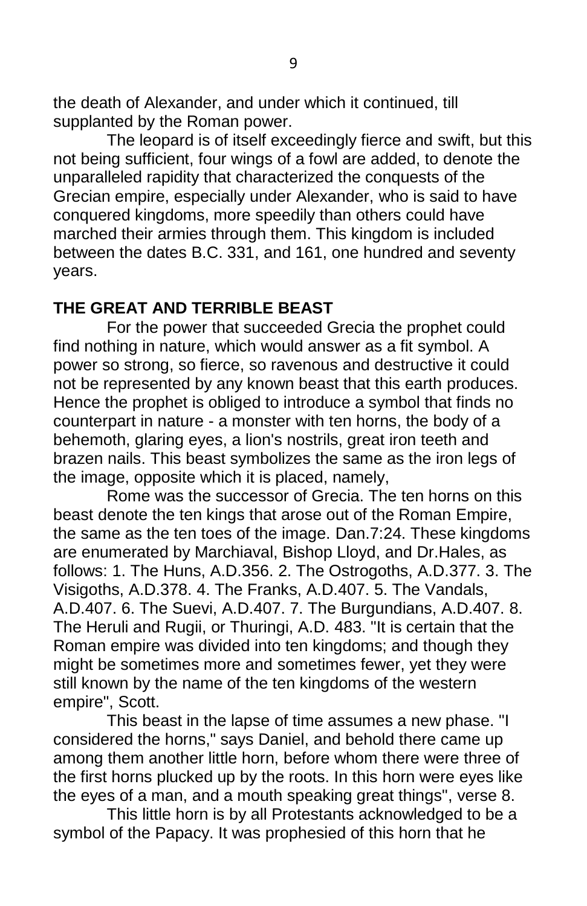the death of Alexander, and under which it continued, till supplanted by the Roman power.

The leopard is of itself exceedingly fierce and swift, but this not being sufficient, four wings of a fowl are added, to denote the unparalleled rapidity that characterized the conquests of the Grecian empire, especially under Alexander, who is said to have conquered kingdoms, more speedily than others could have marched their armies through them. This kingdom is included between the dates B.C. 331, and 161, one hundred and seventy years.

## **THE GREAT AND TERRIBLE BEAST**

For the power that succeeded Grecia the prophet could find nothing in nature, which would answer as a fit symbol. A power so strong, so fierce, so ravenous and destructive it could not be represented by any known beast that this earth produces. Hence the prophet is obliged to introduce a symbol that finds no counterpart in nature - a monster with ten horns, the body of a behemoth, glaring eyes, a lion's nostrils, great iron teeth and brazen nails. This beast symbolizes the same as the iron legs of the image, opposite which it is placed, namely,

Rome was the successor of Grecia. The ten horns on this beast denote the ten kings that arose out of the Roman Empire, the same as the ten toes of the image. Dan.7:24. These kingdoms are enumerated by Marchiaval, Bishop Lloyd, and Dr.Hales, as follows: 1. The Huns, A.D.356. 2. The Ostrogoths, A.D.377. 3. The Visigoths, A.D.378. 4. The Franks, A.D.407. 5. The Vandals, A.D.407. 6. The Suevi, A.D.407. 7. The Burgundians, A.D.407. 8. The Heruli and Rugii, or Thuringi, A.D. 483. "It is certain that the Roman empire was divided into ten kingdoms; and though they might be sometimes more and sometimes fewer, yet they were still known by the name of the ten kingdoms of the western empire", Scott.

This beast in the lapse of time assumes a new phase. "I considered the horns," says Daniel, and behold there came up among them another little horn, before whom there were three of the first horns plucked up by the roots. In this horn were eyes like the eyes of a man, and a mouth speaking great things", verse 8.

This little horn is by all Protestants acknowledged to be a symbol of the Papacy. It was prophesied of this horn that he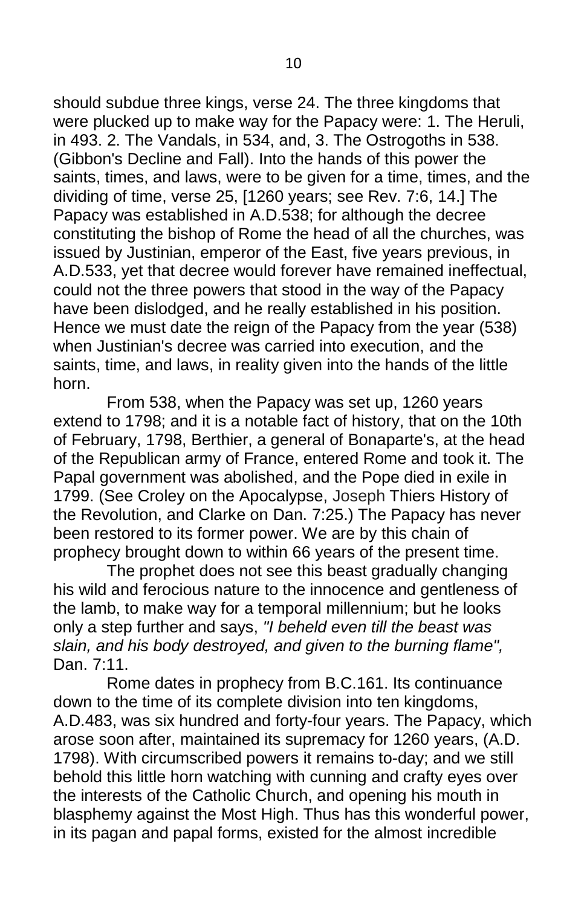should subdue three kings, verse 24. The three kingdoms that were plucked up to make way for the Papacy were: 1. The Heruli, in 493. 2. The Vandals, in 534, and, 3. The Ostrogoths in 538. (Gibbon's Decline and Fall). Into the hands of this power the saints, times, and laws, were to be given for a time, times, and the dividing of time, verse 25, [1260 years; see Rev. 7:6, 14.] The Papacy was established in A.D.538; for although the decree constituting the bishop of Rome the head of all the churches, was issued by Justinian, emperor of the East, five years previous, in A.D.533, yet that decree would forever have remained ineffectual, could not the three powers that stood in the way of the Papacy have been dislodged, and he really established in his position. Hence we must date the reign of the Papacy from the year (538) when Justinian's decree was carried into execution, and the saints, time, and laws, in reality given into the hands of the little horn.

From 538, when the Papacy was set up, 1260 years extend to 1798; and it is a notable fact of history, that on the 10th of February, 1798, Berthier, a general of Bonaparte's, at the head of the Republican army of France, entered Rome and took it. The Papal government was abolished, and the Pope died in exile in 1799. (See Croley on the Apocalypse, Joseph Thiers History of the Revolution, and Clarke on Dan. 7:25.) The Papacy has never been restored to its former power. We are by this chain of prophecy brought down to within 66 years of the present time.

The prophet does not see this beast gradually changing his wild and ferocious nature to the innocence and gentleness of the lamb, to make way for a temporal millennium; but he looks only a step further and says, *"I beheld even till the beast was slain, and his body destroyed, and given to the burning flame",* Dan. 7:11.

Rome dates in prophecy from B.C.161. Its continuance down to the time of its complete division into ten kingdoms, A.D.483, was six hundred and forty-four years. The Papacy, which arose soon after, maintained its supremacy for 1260 years, (A.D. 1798). With circumscribed powers it remains to-day; and we still behold this little horn watching with cunning and crafty eyes over the interests of the Catholic Church, and opening his mouth in blasphemy against the Most High. Thus has this wonderful power, in its pagan and papal forms, existed for the almost incredible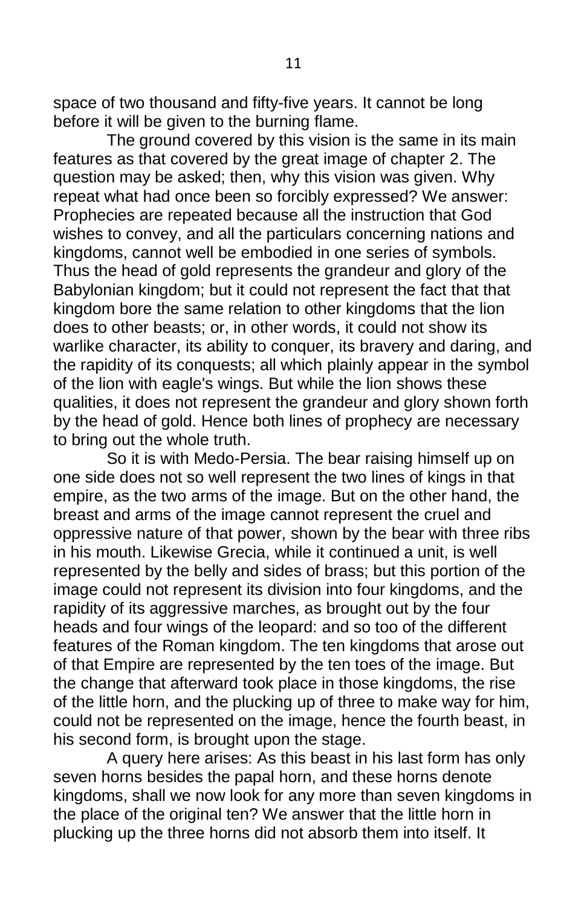space of two thousand and fifty-five years. It cannot be long before it will be given to the burning flame.

The ground covered by this vision is the same in its main features as that covered by the great image of chapter 2. The question may be asked; then, why this vision was given. Why repeat what had once been so forcibly expressed? We answer: Prophecies are repeated because all the instruction that God wishes to convey, and all the particulars concerning nations and kingdoms, cannot well be embodied in one series of symbols. Thus the head of gold represents the grandeur and glory of the Babylonian kingdom; but it could not represent the fact that that kingdom bore the same relation to other kingdoms that the lion does to other beasts; or, in other words, it could not show its warlike character, its ability to conquer, its bravery and daring, and the rapidity of its conquests; all which plainly appear in the symbol of the lion with eagle's wings. But while the lion shows these qualities, it does not represent the grandeur and glory shown forth by the head of gold. Hence both lines of prophecy are necessary to bring out the whole truth.

So it is with Medo-Persia. The bear raising himself up on one side does not so well represent the two lines of kings in that empire, as the two arms of the image. But on the other hand, the breast and arms of the image cannot represent the cruel and oppressive nature of that power, shown by the bear with three ribs in his mouth. Likewise Grecia, while it continued a unit, is well represented by the belly and sides of brass; but this portion of the image could not represent its division into four kingdoms, and the rapidity of its aggressive marches, as brought out by the four heads and four wings of the leopard: and so too of the different features of the Roman kingdom. The ten kingdoms that arose out of that Empire are represented by the ten toes of the image. But the change that afterward took place in those kingdoms, the rise of the little horn, and the plucking up of three to make way for him, could not be represented on the image, hence the fourth beast, in his second form, is brought upon the stage.

A query here arises: As this beast in his last form has only seven horns besides the papal horn, and these horns denote kingdoms, shall we now look for any more than seven kingdoms in the place of the original ten? We answer that the little horn in plucking up the three horns did not absorb them into itself. It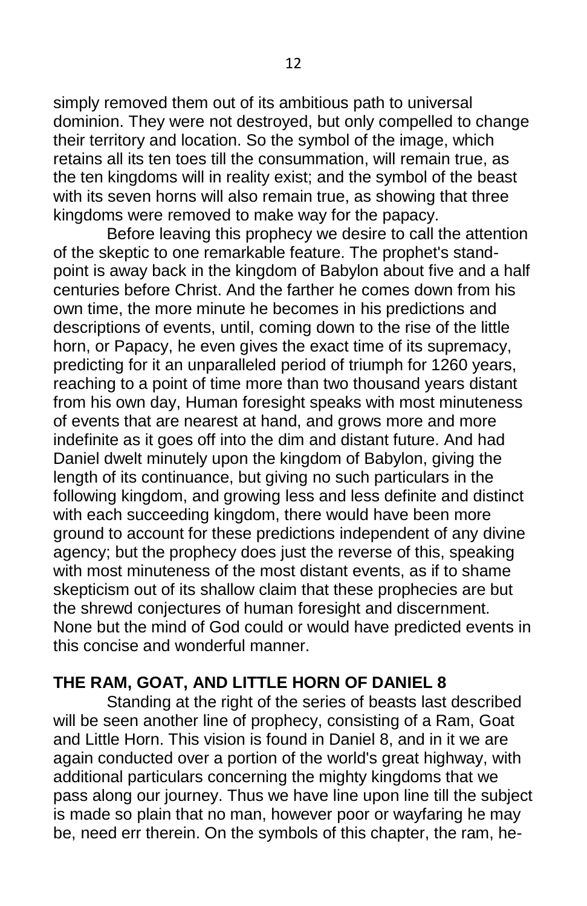simply removed them out of its ambitious path to universal dominion. They were not destroyed, but only compelled to change their territory and location. So the symbol of the image, which retains all its ten toes till the consummation, will remain true, as the ten kingdoms will in reality exist; and the symbol of the beast with its seven horns will also remain true, as showing that three kingdoms were removed to make way for the papacy.

Before leaving this prophecy we desire to call the attention of the skeptic to one remarkable feature. The prophet's standpoint is away back in the kingdom of Babylon about five and a half centuries before Christ. And the farther he comes down from his own time, the more minute he becomes in his predictions and descriptions of events, until, coming down to the rise of the little horn, or Papacy, he even gives the exact time of its supremacy, predicting for it an unparalleled period of triumph for 1260 years, reaching to a point of time more than two thousand years distant from his own day, Human foresight speaks with most minuteness of events that are nearest at hand, and grows more and more indefinite as it goes off into the dim and distant future. And had Daniel dwelt minutely upon the kingdom of Babylon, giving the length of its continuance, but giving no such particulars in the following kingdom, and growing less and less definite and distinct with each succeeding kingdom, there would have been more ground to account for these predictions independent of any divine agency; but the prophecy does just the reverse of this, speaking with most minuteness of the most distant events, as if to shame skepticism out of its shallow claim that these prophecies are but the shrewd conjectures of human foresight and discernment. None but the mind of God could or would have predicted events in this concise and wonderful manner.

## **THE RAM, GOAT, AND LITTLE HORN OF DANIEL 8**

Standing at the right of the series of beasts last described will be seen another line of prophecy, consisting of a Ram, Goat and Little Horn. This vision is found in Daniel 8, and in it we are again conducted over a portion of the world's great highway, with additional particulars concerning the mighty kingdoms that we pass along our journey. Thus we have line upon line till the subject is made so plain that no man, however poor or wayfaring he may be, need err therein. On the symbols of this chapter, the ram, he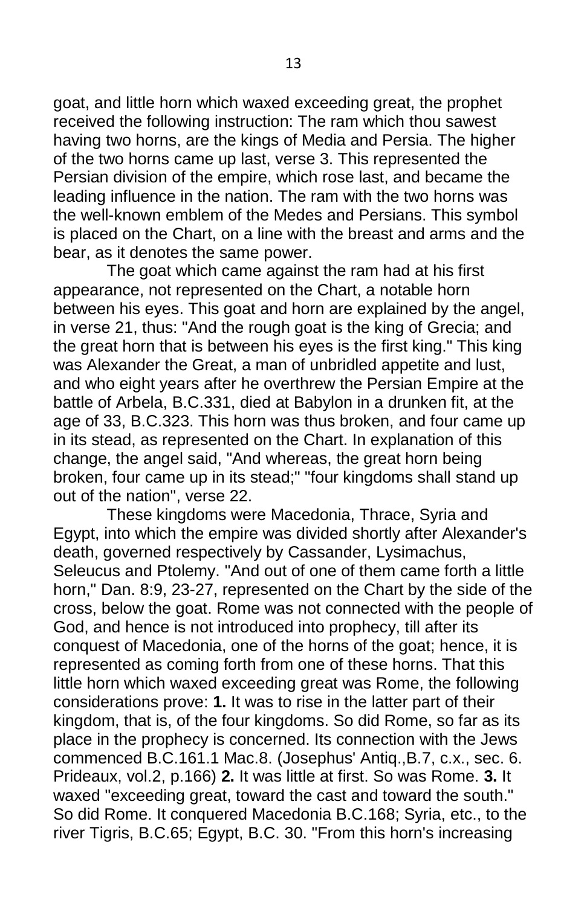goat, and little horn which waxed exceeding great, the prophet received the following instruction: The ram which thou sawest having two horns, are the kings of Media and Persia. The higher of the two horns came up last, verse 3. This represented the Persian division of the empire, which rose last, and became the leading influence in the nation. The ram with the two horns was the well-known emblem of the Medes and Persians. This symbol is placed on the Chart, on a line with the breast and arms and the bear, as it denotes the same power.

The goat which came against the ram had at his first appearance, not represented on the Chart, a notable horn between his eyes. This goat and horn are explained by the angel, in verse 21, thus: "And the rough goat is the king of Grecia; and the great horn that is between his eyes is the first king." This king was Alexander the Great, a man of unbridled appetite and lust, and who eight years after he overthrew the Persian Empire at the battle of Arbela, B.C.331, died at Babylon in a drunken fit, at the age of 33, B.C.323. This horn was thus broken, and four came up in its stead, as represented on the Chart. In explanation of this change, the angel said, "And whereas, the great horn being broken, four came up in its stead;" "four kingdoms shall stand up out of the nation", verse 22.

These kingdoms were Macedonia, Thrace, Syria and Egypt, into which the empire was divided shortly after Alexander's death, governed respectively by Cassander, Lysimachus, Seleucus and Ptolemy. "And out of one of them came forth a little horn," Dan. 8:9, 23-27, represented on the Chart by the side of the cross, below the goat. Rome was not connected with the people of God, and hence is not introduced into prophecy, till after its conquest of Macedonia, one of the horns of the goat; hence, it is represented as coming forth from one of these horns. That this little horn which waxed exceeding great was Rome, the following considerations prove: **1.** It was to rise in the latter part of their kingdom, that is, of the four kingdoms. So did Rome, so far as its place in the prophecy is concerned. Its connection with the Jews commenced B.C.161.1 Mac.8. (Josephus' Antiq.,B.7, c.x., sec. 6. Prideaux, vol.2, p.166) **2.** It was little at first. So was Rome. **3.** It waxed "exceeding great, toward the cast and toward the south." So did Rome. It conquered Macedonia B.C.168; Syria, etc., to the river Tigris, B.C.65; Egypt, B.C. 30. "From this horn's increasing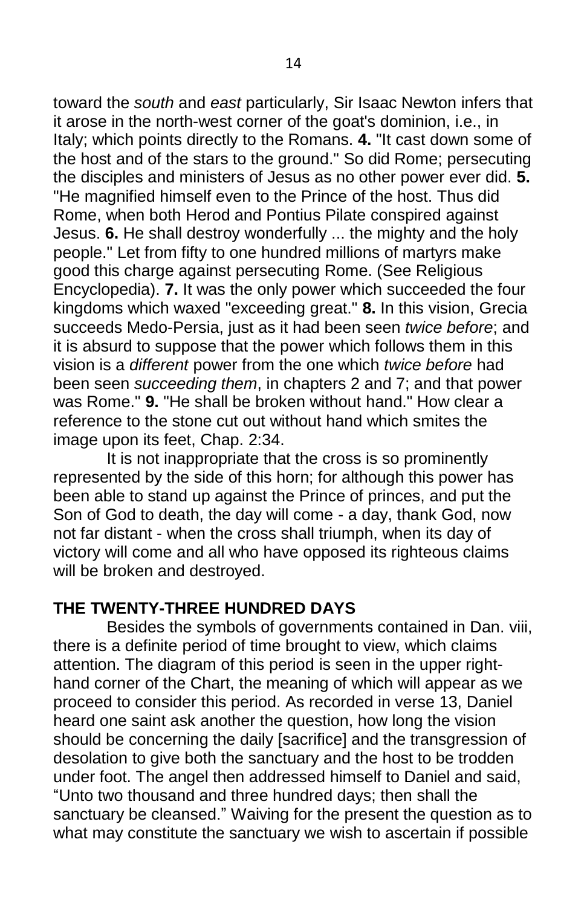toward the *south* and *east* particularly, Sir Isaac Newton infers that it arose in the north-west corner of the goat's dominion, i.e., in Italy; which points directly to the Romans. **4.** "It cast down some of the host and of the stars to the ground." So did Rome; persecuting the disciples and ministers of Jesus as no other power ever did. **5.** "He magnified himself even to the Prince of the host. Thus did Rome, when both Herod and Pontius Pilate conspired against Jesus. **6.** He shall destroy wonderfully ... the mighty and the holy people." Let from fifty to one hundred millions of martyrs make good this charge against persecuting Rome. (See Religious Encyclopedia). **7.** It was the only power which succeeded the four kingdoms which waxed "exceeding great." **8.** In this vision, Grecia succeeds Medo-Persia, just as it had been seen *twice before*; and it is absurd to suppose that the power which follows them in this vision is a *different* power from the one which *twice before* had been seen *succeeding them*, in chapters 2 and 7; and that power was Rome." **9.** "He shall be broken without hand." How clear a reference to the stone cut out without hand which smites the image upon its feet, Chap. 2:34.

It is not inappropriate that the cross is so prominently represented by the side of this horn; for although this power has been able to stand up against the Prince of princes, and put the Son of God to death, the day will come - a day, thank God, now not far distant - when the cross shall triumph, when its day of victory will come and all who have opposed its righteous claims will be broken and destroyed.

#### **THE TWENTY-THREE HUNDRED DAYS**

Besides the symbols of governments contained in Dan. viii, there is a definite period of time brought to view, which claims attention. The diagram of this period is seen in the upper righthand corner of the Chart, the meaning of which will appear as we proceed to consider this period. As recorded in verse 13, Daniel heard one saint ask another the question, how long the vision should be concerning the daily [sacrifice] and the transgression of desolation to give both the sanctuary and the host to be trodden under foot. The angel then addressed himself to Daniel and said, "Unto two thousand and three hundred days; then shall the sanctuary be cleansed." Waiving for the present the question as to what may constitute the sanctuary we wish to ascertain if possible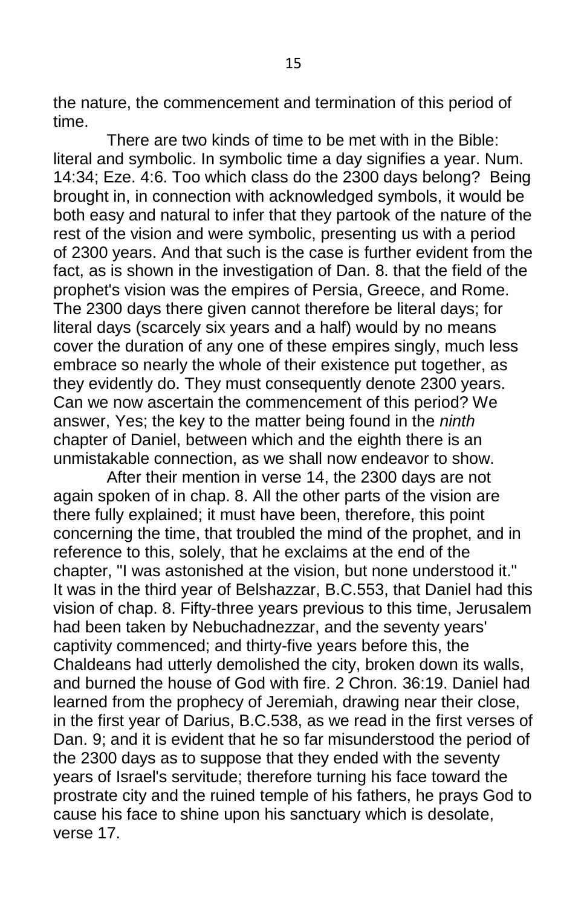the nature, the commencement and termination of this period of time.

There are two kinds of time to be met with in the Bible: literal and symbolic. In symbolic time a day signifies a year. Num. 14:34; Eze. 4:6. Too which class do the 2300 days belong? Being brought in, in connection with acknowledged symbols, it would be both easy and natural to infer that they partook of the nature of the rest of the vision and were symbolic, presenting us with a period of 2300 years. And that such is the case is further evident from the fact, as is shown in the investigation of Dan. 8. that the field of the prophet's vision was the empires of Persia, Greece, and Rome. The 2300 days there given cannot therefore be literal days; for literal days (scarcely six years and a half) would by no means cover the duration of any one of these empires singly, much less embrace so nearly the whole of their existence put together, as they evidently do. They must consequently denote 2300 years. Can we now ascertain the commencement of this period? We answer, Yes; the key to the matter being found in the *ninth*  chapter of Daniel, between which and the eighth there is an unmistakable connection, as we shall now endeavor to show.

After their mention in verse 14, the 2300 days are not again spoken of in chap. 8. All the other parts of the vision are there fully explained; it must have been, therefore, this point concerning the time, that troubled the mind of the prophet, and in reference to this, solely, that he exclaims at the end of the chapter, "I was astonished at the vision, but none understood it." It was in the third year of Belshazzar, B.C.553, that Daniel had this vision of chap. 8. Fifty-three years previous to this time, Jerusalem had been taken by Nebuchadnezzar, and the seventy years' captivity commenced; and thirty-five years before this, the Chaldeans had utterly demolished the city, broken down its walls, and burned the house of God with fire. 2 Chron. 36:19. Daniel had learned from the prophecy of Jeremiah, drawing near their close, in the first year of Darius, B.C.538, as we read in the first verses of Dan. 9; and it is evident that he so far misunderstood the period of the 2300 days as to suppose that they ended with the seventy years of Israel's servitude; therefore turning his face toward the prostrate city and the ruined temple of his fathers, he prays God to cause his face to shine upon his sanctuary which is desolate, verse 17.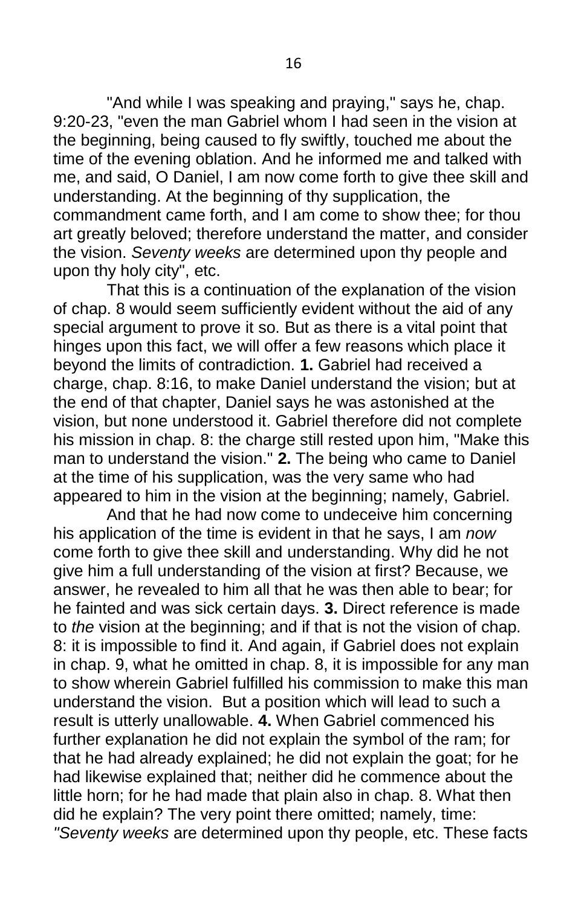"And while I was speaking and praying," says he, chap. 9:20-23, "even the man Gabriel whom I had seen in the vision at the beginning, being caused to fly swiftly, touched me about the time of the evening oblation. And he informed me and talked with me, and said, O Daniel, I am now come forth to give thee skill and understanding. At the beginning of thy supplication, the commandment came forth, and I am come to show thee; for thou art greatly beloved; therefore understand the matter, and consider the vision. *Seventy weeks* are determined upon thy people and upon thy holy city", etc.

That this is a continuation of the explanation of the vision of chap. 8 would seem sufficiently evident without the aid of any special argument to prove it so. But as there is a vital point that hinges upon this fact, we will offer a few reasons which place it beyond the limits of contradiction. **1.** Gabriel had received a charge, chap. 8:16, to make Daniel understand the vision; but at the end of that chapter, Daniel says he was astonished at the vision, but none understood it. Gabriel therefore did not complete his mission in chap. 8: the charge still rested upon him, "Make this man to understand the vision." **2.** The being who came to Daniel at the time of his supplication, was the very same who had appeared to him in the vision at the beginning; namely, Gabriel.

And that he had now come to undeceive him concerning his application of the time is evident in that he says, I am *now*  come forth to give thee skill and understanding. Why did he not give him a full understanding of the vision at first? Because, we answer, he revealed to him all that he was then able to bear; for he fainted and was sick certain days. **3.** Direct reference is made to *the* vision at the beginning; and if that is not the vision of chap. 8: it is impossible to find it. And again, if Gabriel does not explain in chap. 9, what he omitted in chap. 8, it is impossible for any man to show wherein Gabriel fulfilled his commission to make this man understand the vision. But a position which will lead to such a result is utterly unallowable. **4.** When Gabriel commenced his further explanation he did not explain the symbol of the ram; for that he had already explained; he did not explain the goat; for he had likewise explained that; neither did he commence about the little horn; for he had made that plain also in chap. 8. What then did he explain? The very point there omitted; namely, time: *"Seventy weeks* are determined upon thy people, etc. These facts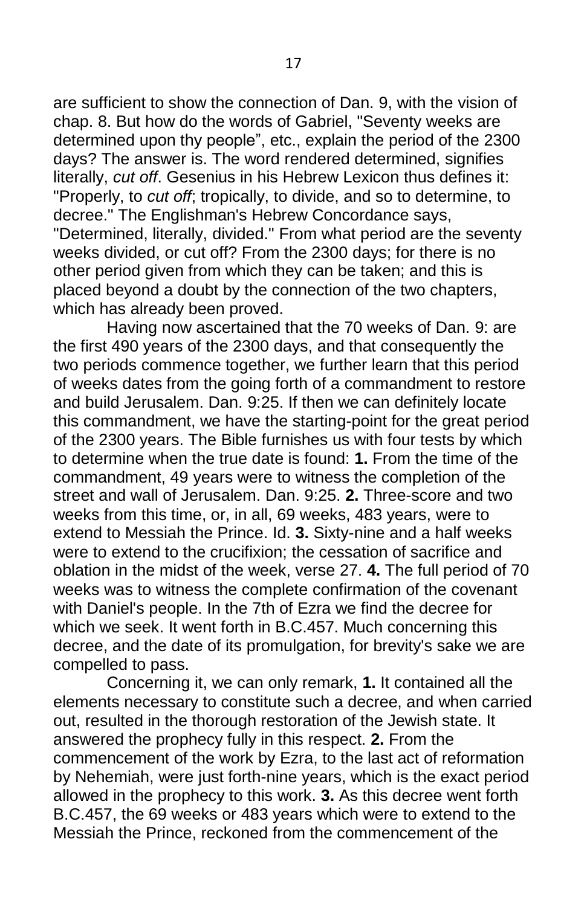are sufficient to show the connection of Dan. 9, with the vision of chap. 8. But how do the words of Gabriel, "Seventy weeks are determined upon thy people", etc., explain the period of the 2300 days? The answer is. The word rendered determined, signifies literally, *cut off*. Gesenius in his Hebrew Lexicon thus defines it: "Properly, to *cut off*; tropically, to divide, and so to determine, to decree." The Englishman's Hebrew Concordance says, "Determined, literally, divided." From what period are the seventy weeks divided, or cut off? From the 2300 days; for there is no other period given from which they can be taken; and this is placed beyond a doubt by the connection of the two chapters, which has already been proved.

Having now ascertained that the 70 weeks of Dan. 9: are the first 490 years of the 2300 days, and that consequently the two periods commence together, we further learn that this period of weeks dates from the going forth of a commandment to restore and build Jerusalem. Dan. 9:25. If then we can definitely locate this commandment, we have the starting-point for the great period of the 2300 years. The Bible furnishes us with four tests by which to determine when the true date is found: **1.** From the time of the commandment, 49 years were to witness the completion of the street and wall of Jerusalem. Dan. 9:25. **2.** Three-score and two weeks from this time, or, in all, 69 weeks, 483 years, were to extend to Messiah the Prince. Id. **3.** Sixty-nine and a half weeks were to extend to the crucifixion; the cessation of sacrifice and oblation in the midst of the week, verse 27. **4.** The full period of 70 weeks was to witness the complete confirmation of the covenant with Daniel's people. In the 7th of Ezra we find the decree for which we seek. It went forth in B.C.457. Much concerning this decree, and the date of its promulgation, for brevity's sake we are compelled to pass.

Concerning it, we can only remark, **1.** It contained all the elements necessary to constitute such a decree, and when carried out, resulted in the thorough restoration of the Jewish state. It answered the prophecy fully in this respect. **2.** From the commencement of the work by Ezra, to the last act of reformation by Nehemiah, were just forth-nine years, which is the exact period allowed in the prophecy to this work. **3.** As this decree went forth B.C.457, the 69 weeks or 483 years which were to extend to the Messiah the Prince, reckoned from the commencement of the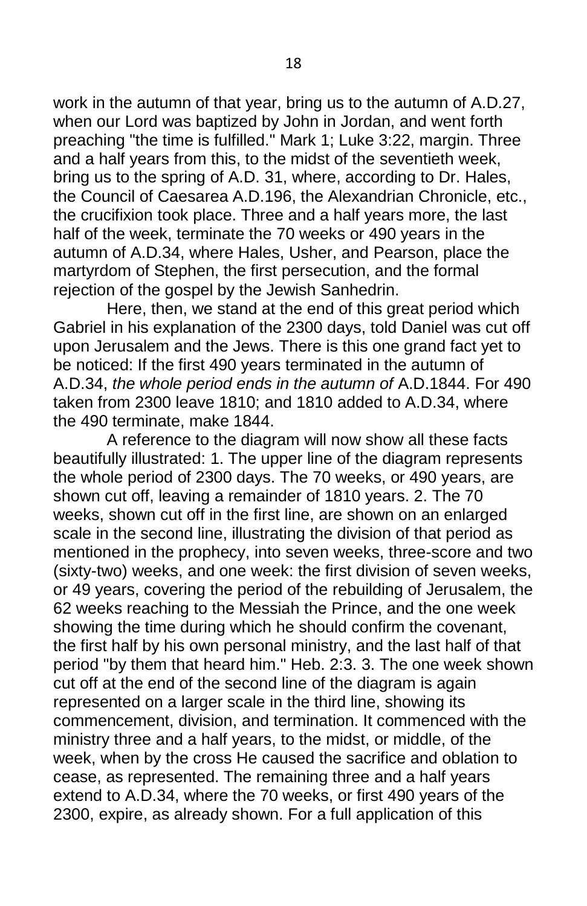work in the autumn of that year, bring us to the autumn of A.D.27, when our Lord was baptized by John in Jordan, and went forth preaching "the time is fulfilled." Mark 1; Luke 3:22, margin. Three and a half years from this, to the midst of the seventieth week, bring us to the spring of A.D. 31, where, according to Dr. Hales, the Council of Caesarea A.D.196, the Alexandrian Chronicle, etc., the crucifixion took place. Three and a half years more, the last half of the week, terminate the 70 weeks or 490 years in the autumn of A.D.34, where Hales, Usher, and Pearson, place the martyrdom of Stephen, the first persecution, and the formal rejection of the gospel by the Jewish Sanhedrin.

Here, then, we stand at the end of this great period which Gabriel in his explanation of the 2300 days, told Daniel was cut off upon Jerusalem and the Jews. There is this one grand fact yet to be noticed: If the first 490 years terminated in the autumn of A.D.34, *the whole period ends in the autumn of* A.D.1844. For 490 taken from 2300 leave 1810; and 1810 added to A.D.34, where the 490 terminate, make 1844.

A reference to the diagram will now show all these facts beautifully illustrated: 1. The upper line of the diagram represents the whole period of 2300 days. The 70 weeks, or 490 years, are shown cut off, leaving a remainder of 1810 years. 2. The 70 weeks, shown cut off in the first line, are shown on an enlarged scale in the second line, illustrating the division of that period as mentioned in the prophecy, into seven weeks, three-score and two (sixty-two) weeks, and one week: the first division of seven weeks, or 49 years, covering the period of the rebuilding of Jerusalem, the 62 weeks reaching to the Messiah the Prince, and the one week showing the time during which he should confirm the covenant, the first half by his own personal ministry, and the last half of that period "by them that heard him." Heb. 2:3. 3. The one week shown cut off at the end of the second line of the diagram is again represented on a larger scale in the third line, showing its commencement, division, and termination. It commenced with the ministry three and a half years, to the midst, or middle, of the week, when by the cross He caused the sacrifice and oblation to cease, as represented. The remaining three and a half years extend to A.D.34, where the 70 weeks, or first 490 years of the 2300, expire, as already shown. For a full application of this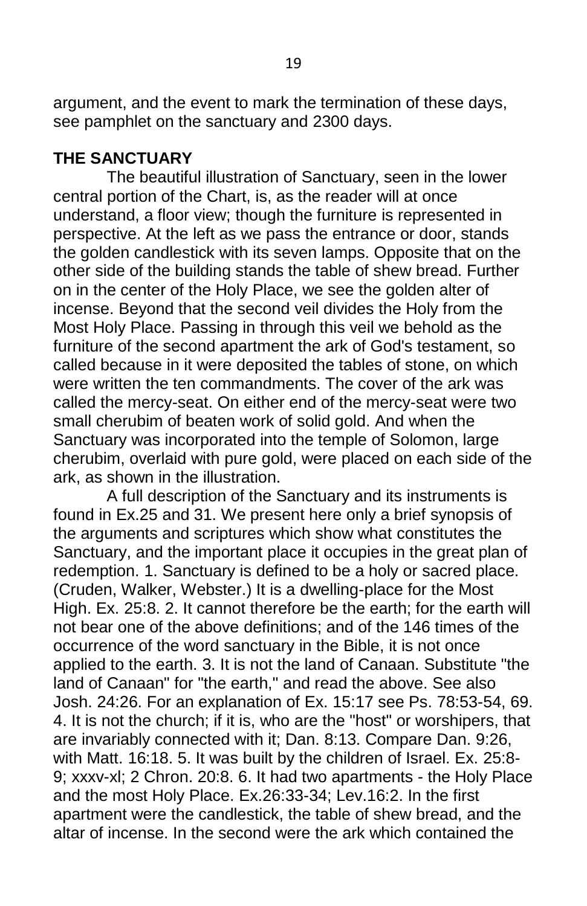argument, and the event to mark the termination of these days, see pamphlet on the sanctuary and 2300 days.

#### **THE SANCTUARY**

The beautiful illustration of Sanctuary, seen in the lower central portion of the Chart, is, as the reader will at once understand, a floor view; though the furniture is represented in perspective. At the left as we pass the entrance or door, stands the golden candlestick with its seven lamps. Opposite that on the other side of the building stands the table of shew bread. Further on in the center of the Holy Place, we see the golden alter of incense. Beyond that the second veil divides the Holy from the Most Holy Place. Passing in through this veil we behold as the furniture of the second apartment the ark of God's testament, so called because in it were deposited the tables of stone, on which were written the ten commandments. The cover of the ark was called the mercy-seat. On either end of the mercy-seat were two small cherubim of beaten work of solid gold. And when the Sanctuary was incorporated into the temple of Solomon, large cherubim, overlaid with pure gold, were placed on each side of the ark, as shown in the illustration.

A full description of the Sanctuary and its instruments is found in Ex.25 and 31. We present here only a brief synopsis of the arguments and scriptures which show what constitutes the Sanctuary, and the important place it occupies in the great plan of redemption. 1. Sanctuary is defined to be a holy or sacred place. (Cruden, Walker, Webster.) It is a dwelling-place for the Most High. Ex. 25:8. 2. It cannot therefore be the earth; for the earth will not bear one of the above definitions; and of the 146 times of the occurrence of the word sanctuary in the Bible, it is not once applied to the earth. 3. It is not the land of Canaan. Substitute "the land of Canaan" for "the earth," and read the above. See also Josh. 24:26. For an explanation of Ex. 15:17 see Ps. 78:53-54, 69. 4. It is not the church; if it is, who are the "host" or worshipers, that are invariably connected with it; Dan. 8:13. Compare Dan. 9:26, with Matt. 16:18. 5. It was built by the children of Israel. Ex. 25:8- 9; xxxv-xl; 2 Chron. 20:8. 6. It had two apartments - the Holy Place and the most Holy Place. Ex.26:33-34; Lev.16:2. In the first apartment were the candlestick, the table of shew bread, and the altar of incense. In the second were the ark which contained the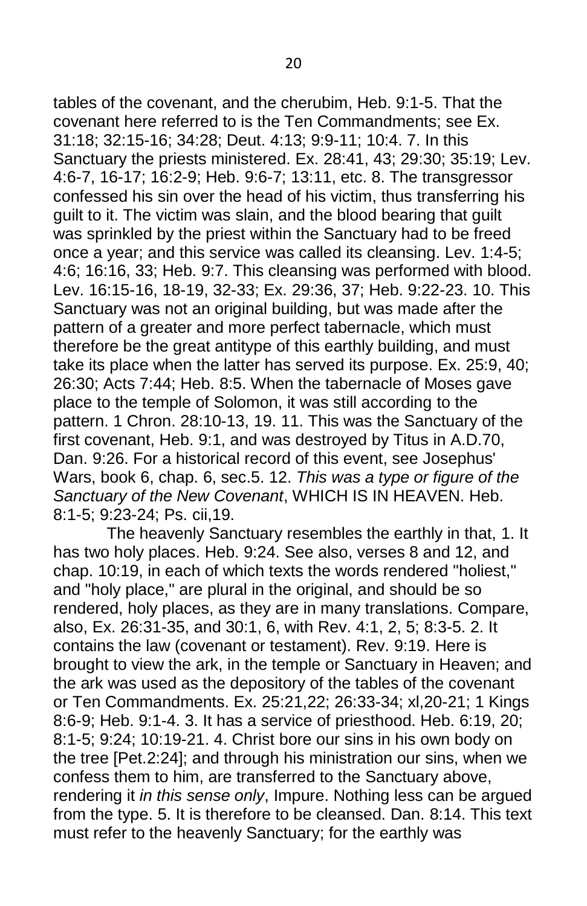tables of the covenant, and the cherubim, Heb. 9:1-5. That the covenant here referred to is the Ten Commandments; see Ex. 31:18; 32:15-16; 34:28; Deut. 4:13; 9:9-11; 10:4. 7. In this Sanctuary the priests ministered. Ex. 28:41, 43; 29:30; 35:19; Lev. 4:6-7, 16-17; 16:2-9; Heb. 9:6-7; 13:11, etc. 8. The transgressor confessed his sin over the head of his victim, thus transferring his guilt to it. The victim was slain, and the blood bearing that guilt was sprinkled by the priest within the Sanctuary had to be freed once a year; and this service was called its cleansing. Lev. 1:4-5; 4:6; 16:16, 33; Heb. 9:7. This cleansing was performed with blood. Lev. 16:15-16, 18-19, 32-33; Ex. 29:36, 37; Heb. 9:22-23. 10. This Sanctuary was not an original building, but was made after the pattern of a greater and more perfect tabernacle, which must therefore be the great antitype of this earthly building, and must take its place when the latter has served its purpose. Ex. 25:9, 40; 26:30; Acts 7:44; Heb. 8:5. When the tabernacle of Moses gave place to the temple of Solomon, it was still according to the pattern. 1 Chron. 28:10-13, 19. 11. This was the Sanctuary of the first covenant, Heb. 9:1, and was destroyed by Titus in A.D.70, Dan. 9:26. For a historical record of this event, see Josephus' Wars, book 6, chap. 6, sec.5. 12. *This was a type or figure of the Sanctuary of the New Covenant*, WHICH IS IN HEAVEN. Heb. 8:1-5; 9:23-24; Ps. cii,19.

The heavenly Sanctuary resembles the earthly in that, 1. It has two holy places. Heb. 9:24. See also, verses 8 and 12, and chap. 10:19, in each of which texts the words rendered "holiest," and "holy place," are plural in the original, and should be so rendered, holy places, as they are in many translations. Compare, also, Ex. 26:31-35, and 30:1, 6, with Rev. 4:1, 2, 5; 8:3-5. 2. It contains the law (covenant or testament). Rev. 9:19. Here is brought to view the ark, in the temple or Sanctuary in Heaven; and the ark was used as the depository of the tables of the covenant or Ten Commandments. Ex. 25:21,22; 26:33-34; xl,20-21; 1 Kings 8:6-9; Heb. 9:1-4. 3. It has a service of priesthood. Heb. 6:19, 20; 8:1-5; 9:24; 10:19-21. 4. Christ bore our sins in his own body on the tree [Pet.2:24]; and through his ministration our sins, when we confess them to him, are transferred to the Sanctuary above, rendering it *in this sense only*, Impure. Nothing less can be argued from the type. 5. It is therefore to be cleansed. Dan. 8:14. This text must refer to the heavenly Sanctuary; for the earthly was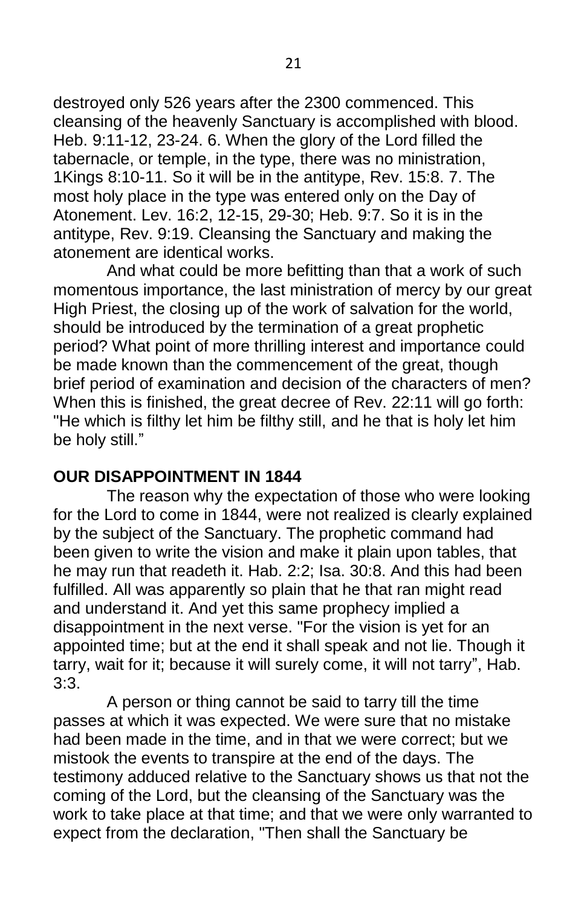destroyed only 526 years after the 2300 commenced. This cleansing of the heavenly Sanctuary is accomplished with blood. Heb. 9:11-12, 23-24. 6. When the glory of the Lord filled the tabernacle, or temple, in the type, there was no ministration, 1Kings 8:10-11. So it will be in the antitype, Rev. 15:8. 7. The most holy place in the type was entered only on the Day of Atonement. Lev. 16:2, 12-15, 29-30; Heb. 9:7. So it is in the antitype, Rev. 9:19. Cleansing the Sanctuary and making the atonement are identical works.

And what could be more befitting than that a work of such momentous importance, the last ministration of mercy by our great High Priest, the closing up of the work of salvation for the world, should be introduced by the termination of a great prophetic period? What point of more thrilling interest and importance could be made known than the commencement of the great, though brief period of examination and decision of the characters of men? When this is finished, the great decree of Rev. 22:11 will go forth: "He which is filthy let him be filthy still, and he that is holy let him be holy still."

#### **OUR DISAPPOINTMENT IN 1844**

The reason why the expectation of those who were looking for the Lord to come in 1844, were not realized is clearly explained by the subject of the Sanctuary. The prophetic command had been given to write the vision and make it plain upon tables, that he may run that readeth it. Hab. 2:2; Isa. 30:8. And this had been fulfilled. All was apparently so plain that he that ran might read and understand it. And yet this same prophecy implied a disappointment in the next verse. "For the vision is yet for an appointed time; but at the end it shall speak and not lie. Though it tarry, wait for it; because it will surely come, it will not tarry", Hab. 3:3.

A person or thing cannot be said to tarry till the time passes at which it was expected. We were sure that no mistake had been made in the time, and in that we were correct; but we mistook the events to transpire at the end of the days. The testimony adduced relative to the Sanctuary shows us that not the coming of the Lord, but the cleansing of the Sanctuary was the work to take place at that time; and that we were only warranted to expect from the declaration, "Then shall the Sanctuary be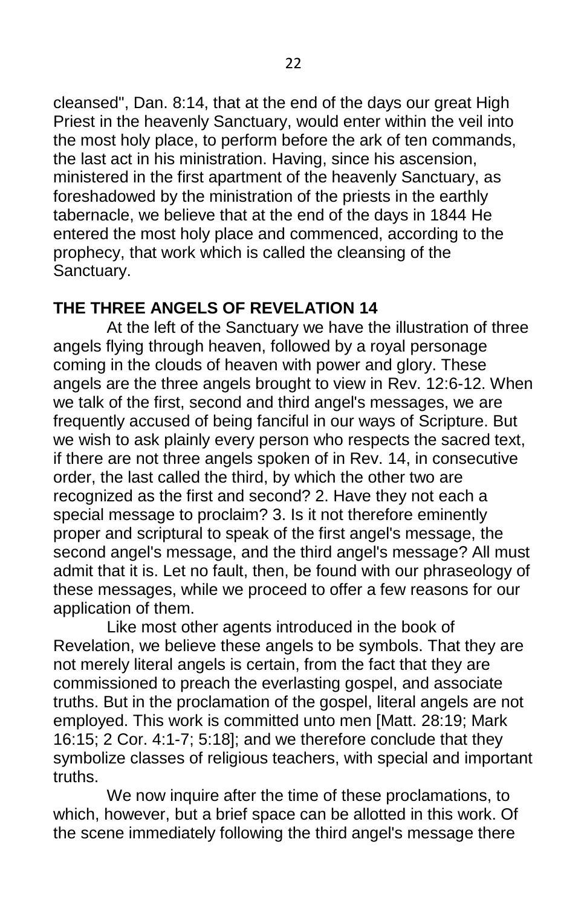cleansed", Dan. 8:14, that at the end of the days our great High Priest in the heavenly Sanctuary, would enter within the veil into the most holy place, to perform before the ark of ten commands, the last act in his ministration. Having, since his ascension, ministered in the first apartment of the heavenly Sanctuary, as foreshadowed by the ministration of the priests in the earthly tabernacle, we believe that at the end of the days in 1844 He entered the most holy place and commenced, according to the prophecy, that work which is called the cleansing of the Sanctuary.

# **THE THREE ANGELS OF REVELATION 14**

At the left of the Sanctuary we have the illustration of three angels flying through heaven, followed by a royal personage coming in the clouds of heaven with power and glory. These angels are the three angels brought to view in Rev. 12:6-12. When we talk of the first, second and third angel's messages, we are frequently accused of being fanciful in our ways of Scripture. But we wish to ask plainly every person who respects the sacred text, if there are not three angels spoken of in Rev. 14, in consecutive order, the last called the third, by which the other two are recognized as the first and second? 2. Have they not each a special message to proclaim? 3. Is it not therefore eminently proper and scriptural to speak of the first angel's message, the second angel's message, and the third angel's message? All must admit that it is. Let no fault, then, be found with our phraseology of these messages, while we proceed to offer a few reasons for our application of them.

Like most other agents introduced in the book of Revelation, we believe these angels to be symbols. That they are not merely literal angels is certain, from the fact that they are commissioned to preach the everlasting gospel, and associate truths. But in the proclamation of the gospel, literal angels are not employed. This work is committed unto men [Matt. 28:19; Mark 16:15; 2 Cor. 4:1-7; 5:18]; and we therefore conclude that they symbolize classes of religious teachers, with special and important truths.

We now inquire after the time of these proclamations, to which, however, but a brief space can be allotted in this work. Of the scene immediately following the third angel's message there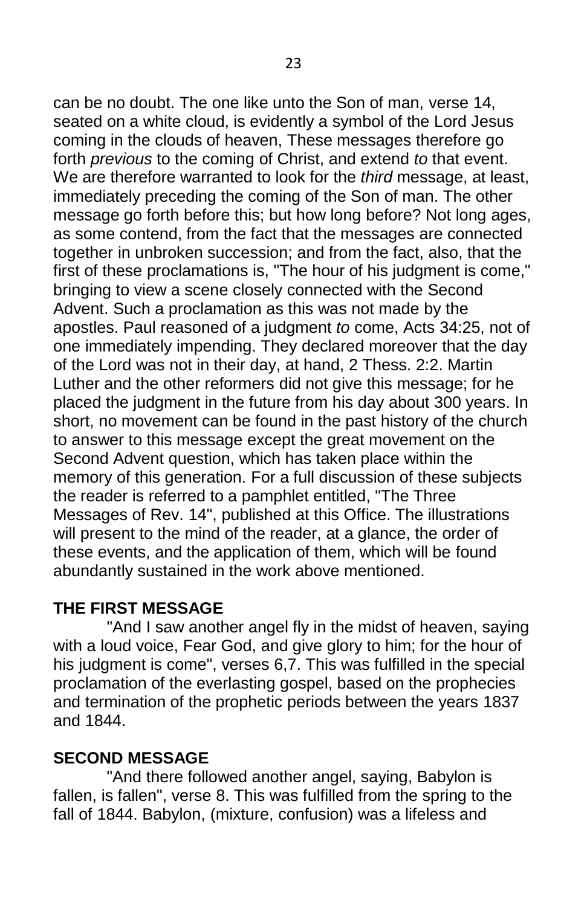can be no doubt. The one like unto the Son of man, verse 14, seated on a white cloud, is evidently a symbol of the Lord Jesus coming in the clouds of heaven, These messages therefore go forth *previous* to the coming of Christ, and extend *to* that event. We are therefore warranted to look for the *third* message, at least, immediately preceding the coming of the Son of man. The other message go forth before this; but how long before? Not long ages, as some contend, from the fact that the messages are connected together in unbroken succession; and from the fact, also, that the first of these proclamations is, "The hour of his judgment is come," bringing to view a scene closely connected with the Second Advent. Such a proclamation as this was not made by the apostles. Paul reasoned of a judgment *to* come, Acts 34:25, not of one immediately impending. They declared moreover that the day of the Lord was not in their day, at hand, 2 Thess. 2:2. Martin Luther and the other reformers did not give this message; for he placed the judgment in the future from his day about 300 years. In short, no movement can be found in the past history of the church to answer to this message except the great movement on the Second Advent question, which has taken place within the memory of this generation. For a full discussion of these subjects the reader is referred to a pamphlet entitled, "The Three Messages of Rev. 14", published at this Office. The illustrations will present to the mind of the reader, at a glance, the order of these events, and the application of them, which will be found abundantly sustained in the work above mentioned.

## **THE FIRST MESSAGE**

"And I saw another angel fly in the midst of heaven, saying with a loud voice, Fear God, and give glory to him; for the hour of his judgment is come", verses 6,7. This was fulfilled in the special proclamation of the everlasting gospel, based on the prophecies and termination of the prophetic periods between the years 1837 and 1844.

# **SECOND MESSAGE**

"And there followed another angel, saying, Babylon is fallen, is fallen", verse 8. This was fulfilled from the spring to the fall of 1844. Babylon, (mixture, confusion) was a lifeless and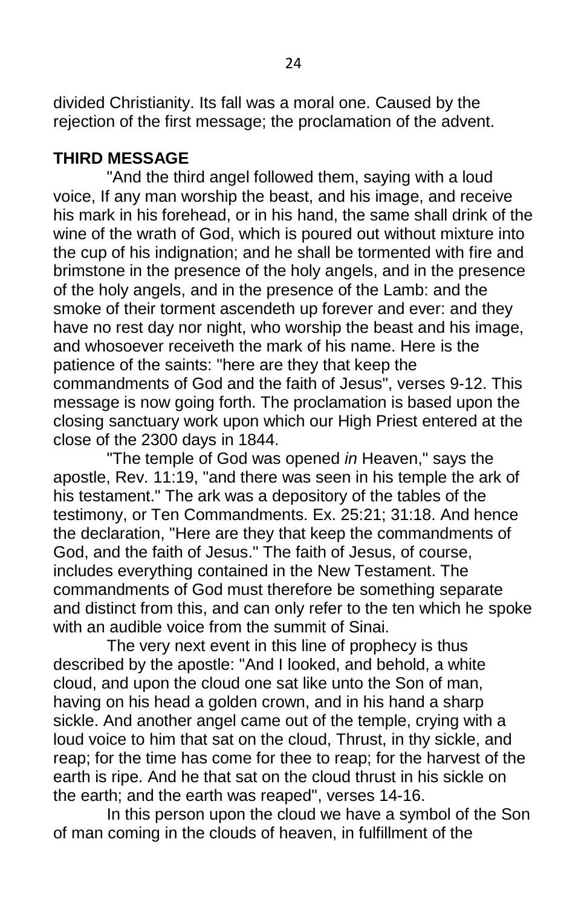divided Christianity. Its fall was a moral one. Caused by the rejection of the first message; the proclamation of the advent.

## **THIRD MESSAGE**

"And the third angel followed them, saying with a loud voice, If any man worship the beast, and his image, and receive his mark in his forehead, or in his hand, the same shall drink of the wine of the wrath of God, which is poured out without mixture into the cup of his indignation; and he shall be tormented with fire and brimstone in the presence of the holy angels, and in the presence of the holy angels, and in the presence of the Lamb: and the smoke of their torment ascendeth up forever and ever: and they have no rest day nor night, who worship the beast and his image, and whosoever receiveth the mark of his name. Here is the patience of the saints: "here are they that keep the commandments of God and the faith of Jesus", verses 9-12. This message is now going forth. The proclamation is based upon the closing sanctuary work upon which our High Priest entered at the close of the 2300 days in 1844.

"The temple of God was opened *in* Heaven," says the apostle, Rev. 11:19, "and there was seen in his temple the ark of his testament." The ark was a depository of the tables of the testimony, or Ten Commandments. Ex. 25:21; 31:18. And hence the declaration, "Here are they that keep the commandments of God, and the faith of Jesus." The faith of Jesus, of course, includes everything contained in the New Testament. The commandments of God must therefore be something separate and distinct from this, and can only refer to the ten which he spoke with an audible voice from the summit of Sinai.

The very next event in this line of prophecy is thus described by the apostle: "And I looked, and behold, a white cloud, and upon the cloud one sat like unto the Son of man, having on his head a golden crown, and in his hand a sharp sickle. And another angel came out of the temple, crying with a loud voice to him that sat on the cloud, Thrust, in thy sickle, and reap; for the time has come for thee to reap; for the harvest of the earth is ripe. And he that sat on the cloud thrust in his sickle on the earth; and the earth was reaped", verses 14-16.

In this person upon the cloud we have a symbol of the Son of man coming in the clouds of heaven, in fulfillment of the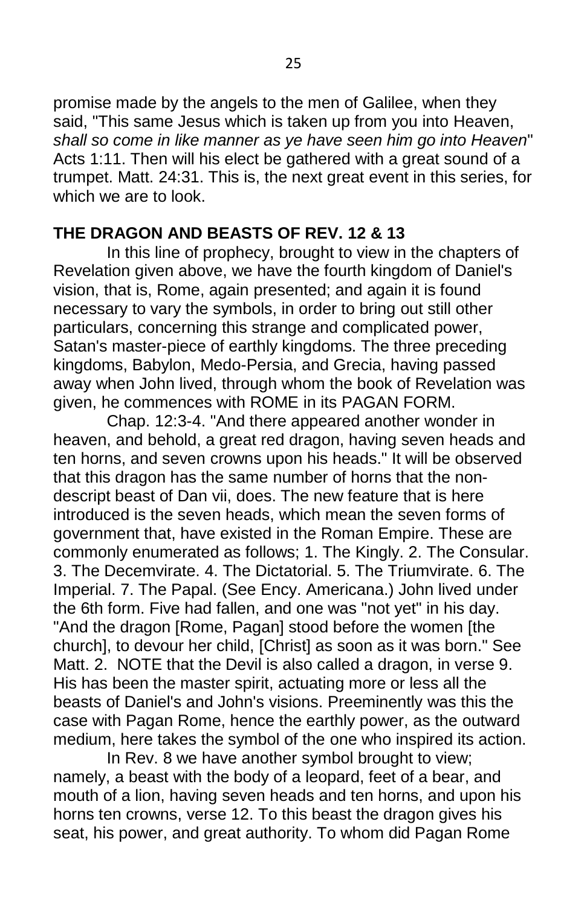promise made by the angels to the men of Galilee, when they said, "This same Jesus which is taken up from you into Heaven, *shall so come in like manner as ye have seen him go into Heaven*" Acts 1:11. Then will his elect be gathered with a great sound of a trumpet. Matt. 24:31. This is, the next great event in this series, for which we are to look.

## **THE DRAGON AND BEASTS OF REV. 12 & 13**

In this line of prophecy, brought to view in the chapters of Revelation given above, we have the fourth kingdom of Daniel's vision, that is, Rome, again presented; and again it is found necessary to vary the symbols, in order to bring out still other particulars, concerning this strange and complicated power, Satan's master-piece of earthly kingdoms. The three preceding kingdoms, Babylon, Medo-Persia, and Grecia, having passed away when John lived, through whom the book of Revelation was given, he commences with ROME in its PAGAN FORM.

Chap. 12:3-4. "And there appeared another wonder in heaven, and behold, a great red dragon, having seven heads and ten horns, and seven crowns upon his heads." It will be observed that this dragon has the same number of horns that the nondescript beast of Dan vii, does. The new feature that is here introduced is the seven heads, which mean the seven forms of government that, have existed in the Roman Empire. These are commonly enumerated as follows; 1. The Kingly. 2. The Consular. 3. The Decemvirate. 4. The Dictatorial. 5. The Triumvirate. 6. The Imperial. 7. The Papal. (See Ency. Americana.) John lived under the 6th form. Five had fallen, and one was "not yet" in his day. "And the dragon [Rome, Pagan] stood before the women [the church], to devour her child, [Christ] as soon as it was born." See Matt. 2. NOTE that the Devil is also called a dragon, in verse 9. His has been the master spirit, actuating more or less all the beasts of Daniel's and John's visions. Preeminently was this the case with Pagan Rome, hence the earthly power, as the outward medium, here takes the symbol of the one who inspired its action.

In Rev. 8 we have another symbol brought to view; namely, a beast with the body of a leopard, feet of a bear, and mouth of a lion, having seven heads and ten horns, and upon his horns ten crowns, verse 12. To this beast the dragon gives his seat, his power, and great authority. To whom did Pagan Rome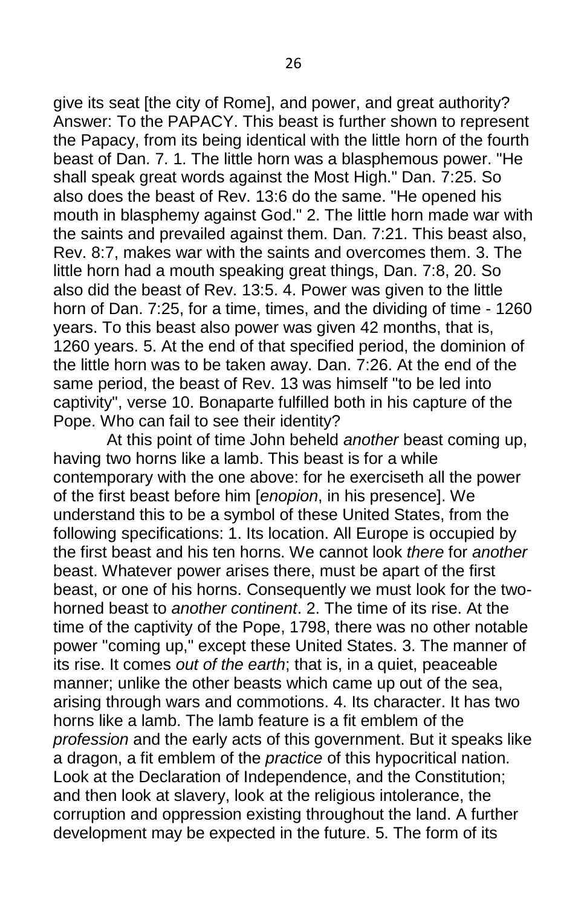give its seat [the city of Rome], and power, and great authority? Answer: To the PAPACY. This beast is further shown to represent the Papacy, from its being identical with the little horn of the fourth beast of Dan. 7. 1. The little horn was a blasphemous power. "He shall speak great words against the Most High." Dan. 7:25. So also does the beast of Rev. 13:6 do the same. "He opened his mouth in blasphemy against God." 2. The little horn made war with the saints and prevailed against them. Dan. 7:21. This beast also, Rev. 8:7, makes war with the saints and overcomes them. 3. The little horn had a mouth speaking great things, Dan. 7:8, 20. So also did the beast of Rev. 13:5. 4. Power was given to the little horn of Dan. 7:25, for a time, times, and the dividing of time - 1260 years. To this beast also power was given 42 months, that is, 1260 years. 5. At the end of that specified period, the dominion of the little horn was to be taken away. Dan. 7:26. At the end of the same period, the beast of Rev. 13 was himself "to be led into captivity", verse 10. Bonaparte fulfilled both in his capture of the Pope. Who can fail to see their identity?

At this point of time John beheld *another* beast coming up, having two horns like a lamb. This beast is for a while contemporary with the one above: for he exerciseth all the power of the first beast before him [*enopion*, in his presence]. We understand this to be a symbol of these United States, from the following specifications: 1. Its location. All Europe is occupied by the first beast and his ten horns. We cannot look *there* for *another*  beast. Whatever power arises there, must be apart of the first beast, or one of his horns. Consequently we must look for the twohorned beast to *another continent*. 2. The time of its rise. At the time of the captivity of the Pope, 1798, there was no other notable power "coming up," except these United States. 3. The manner of its rise. It comes *out of the earth*; that is, in a quiet, peaceable manner; unlike the other beasts which came up out of the sea, arising through wars and commotions. 4. Its character. It has two horns like a lamb. The lamb feature is a fit emblem of the *profession* and the early acts of this government. But it speaks like a dragon, a fit emblem of the *practice* of this hypocritical nation. Look at the Declaration of Independence, and the Constitution; and then look at slavery, look at the religious intolerance, the corruption and oppression existing throughout the land. A further development may be expected in the future. 5. The form of its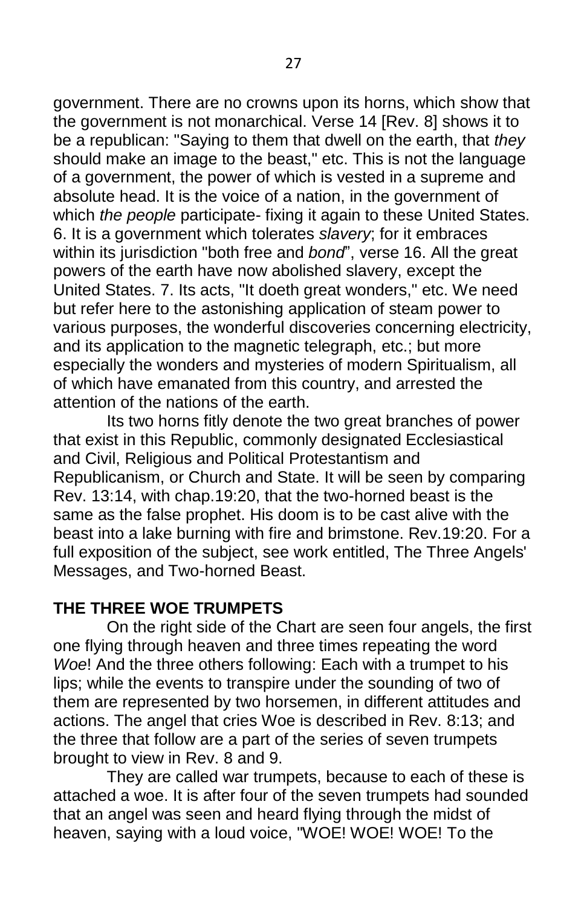government. There are no crowns upon its horns, which show that the government is not monarchical. Verse 14 [Rev. 8] shows it to be a republican: "Saying to them that dwell on the earth, that *they*  should make an image to the beast," etc. This is not the language of a government, the power of which is vested in a supreme and absolute head. It is the voice of a nation, in the government of which *the people* participate- fixing it again to these United States. 6. It is a government which tolerates *slavery*; for it embraces within its jurisdiction "both free and *bond*", verse 16. All the great powers of the earth have now abolished slavery, except the United States. 7. Its acts, "It doeth great wonders," etc. We need but refer here to the astonishing application of steam power to various purposes, the wonderful discoveries concerning electricity, and its application to the magnetic telegraph, etc.; but more especially the wonders and mysteries of modern Spiritualism, all of which have emanated from this country, and arrested the attention of the nations of the earth.

Its two horns fitly denote the two great branches of power that exist in this Republic, commonly designated Ecclesiastical and Civil, Religious and Political Protestantism and Republicanism, or Church and State. It will be seen by comparing Rev. 13:14, with chap.19:20, that the two-horned beast is the same as the false prophet. His doom is to be cast alive with the beast into a lake burning with fire and brimstone. Rev.19:20. For a full exposition of the subject, see work entitled, The Three Angels' Messages, and Two-horned Beast.

## **THE THREE WOE TRUMPETS**

On the right side of the Chart are seen four angels, the first one flying through heaven and three times repeating the word *Woe*! And the three others following: Each with a trumpet to his lips; while the events to transpire under the sounding of two of them are represented by two horsemen, in different attitudes and actions. The angel that cries Woe is described in Rev. 8:13; and the three that follow are a part of the series of seven trumpets brought to view in Rev. 8 and 9.

They are called war trumpets, because to each of these is attached a woe. It is after four of the seven trumpets had sounded that an angel was seen and heard flying through the midst of heaven, saying with a loud voice, "WOE! WOE! WOE! To the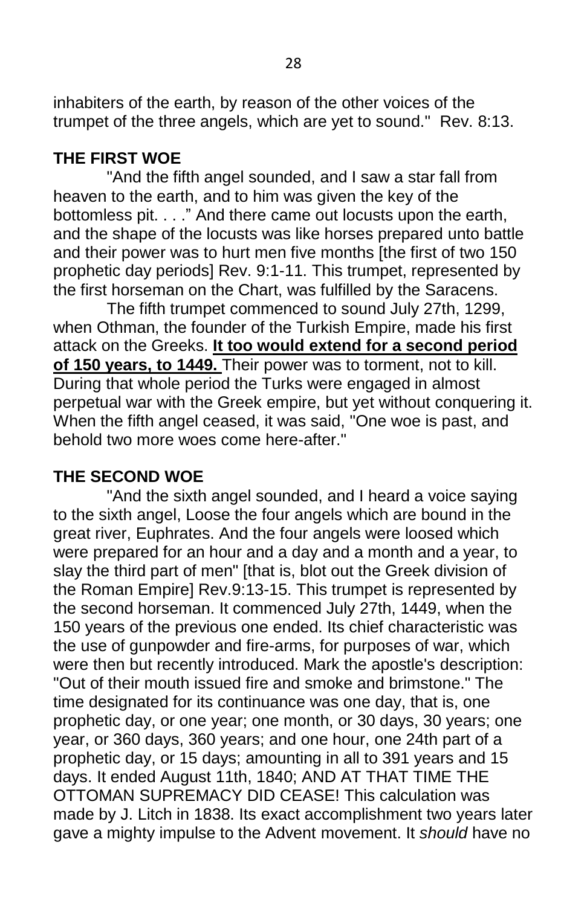inhabiters of the earth, by reason of the other voices of the trumpet of the three angels, which are yet to sound." Rev. 8:13.

## **THE FIRST WOE**

"And the fifth angel sounded, and I saw a star fall from heaven to the earth, and to him was given the key of the bottomless pit. . . ." And there came out locusts upon the earth, and the shape of the locusts was like horses prepared unto battle and their power was to hurt men five months [the first of two 150 prophetic day periods] Rev. 9:1-11. This trumpet, represented by the first horseman on the Chart, was fulfilled by the Saracens.

The fifth trumpet commenced to sound July 27th, 1299, when Othman, the founder of the Turkish Empire, made his first attack on the Greeks. **It too would extend for a second period of 150 years, to 1449.** Their power was to torment, not to kill. During that whole period the Turks were engaged in almost perpetual war with the Greek empire, but yet without conquering it. When the fifth angel ceased, it was said, "One woe is past, and behold two more woes come here-after."

# **THE SECOND WOE**

"And the sixth angel sounded, and I heard a voice saying to the sixth angel, Loose the four angels which are bound in the great river, Euphrates. And the four angels were loosed which were prepared for an hour and a day and a month and a year, to slay the third part of men" [that is, blot out the Greek division of the Roman Empire] Rev.9:13-15. This trumpet is represented by the second horseman. It commenced July 27th, 1449, when the 150 years of the previous one ended. Its chief characteristic was the use of gunpowder and fire-arms, for purposes of war, which were then but recently introduced. Mark the apostle's description: "Out of their mouth issued fire and smoke and brimstone." The time designated for its continuance was one day, that is, one prophetic day, or one year; one month, or 30 days, 30 years; one year, or 360 days, 360 years; and one hour, one 24th part of a prophetic day, or 15 days; amounting in all to 391 years and 15 days. It ended August 11th, 1840; AND AT THAT TIME THE OTTOMAN SUPREMACY DID CEASE! This calculation was made by J. Litch in 1838. Its exact accomplishment two years later gave a mighty impulse to the Advent movement. It *should* have no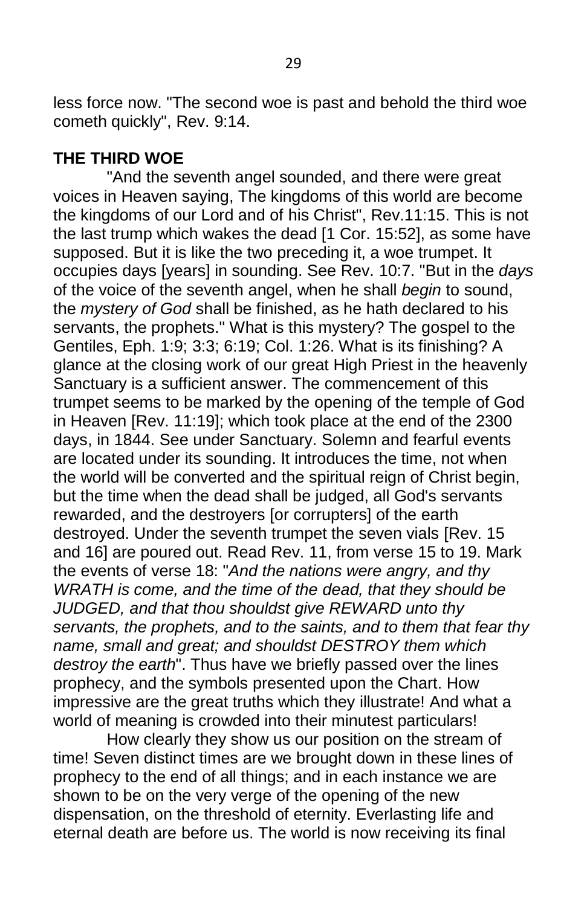less force now. "The second woe is past and behold the third woe cometh quickly", Rev. 9:14.

#### **THE THIRD WOE**

"And the seventh angel sounded, and there were great voices in Heaven saying, The kingdoms of this world are become the kingdoms of our Lord and of his Christ", Rev.11:15. This is not the last trump which wakes the dead [1 Cor. 15:52], as some have supposed. But it is like the two preceding it, a woe trumpet. It occupies days [years] in sounding. See Rev. 10:7. "But in the *days*  of the voice of the seventh angel, when he shall *begin* to sound, the *mystery of God* shall be finished, as he hath declared to his servants, the prophets." What is this mystery? The gospel to the Gentiles, Eph. 1:9; 3:3; 6:19; Col. 1:26. What is its finishing? A glance at the closing work of our great High Priest in the heavenly Sanctuary is a sufficient answer. The commencement of this trumpet seems to be marked by the opening of the temple of God in Heaven [Rev. 11:19]; which took place at the end of the 2300 days, in 1844. See under Sanctuary. Solemn and fearful events are located under its sounding. It introduces the time, not when the world will be converted and the spiritual reign of Christ begin, but the time when the dead shall be judged, all God's servants rewarded, and the destroyers [or corrupters] of the earth destroyed. Under the seventh trumpet the seven vials [Rev. 15 and 16] are poured out. Read Rev. 11, from verse 15 to 19. Mark the events of verse 18: "*And the nations were angry, and thy WRATH is come, and the time of the dead, that they should be JUDGED, and that thou shouldst give REWARD unto thy servants, the prophets, and to the saints, and to them that fear thy name, small and great; and shouldst DESTROY them which destroy the earth*". Thus have we briefly passed over the lines prophecy, and the symbols presented upon the Chart. How impressive are the great truths which they illustrate! And what a world of meaning is crowded into their minutest particulars!

How clearly they show us our position on the stream of time! Seven distinct times are we brought down in these lines of prophecy to the end of all things; and in each instance we are shown to be on the very verge of the opening of the new dispensation, on the threshold of eternity. Everlasting life and eternal death are before us. The world is now receiving its final